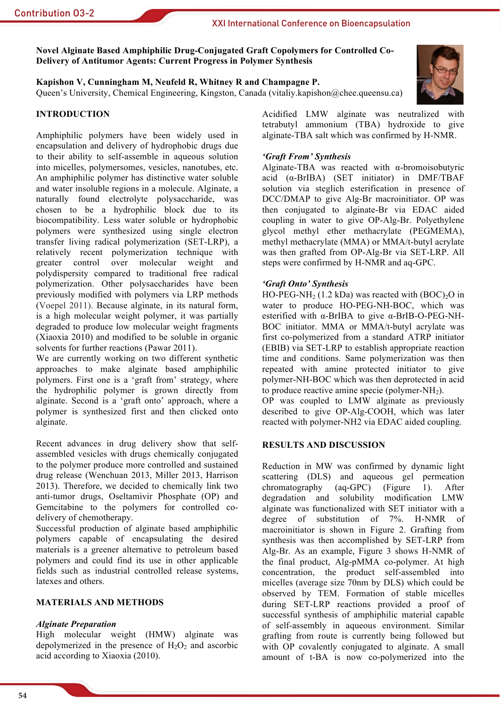## XXI International Conference on Bioencapsulation

Novel Alginate Based Amphiphilic Drug-Conjugated Graft Copolymers for Controlled Co-**Delivery of Antitumor Agents: Current Progress in Polymer Synthesis** 

Kapishon V, Cunningham M, Neufeld R, Whitney R and Champagne P. Oueen's University, Chemical Engineering, Kingston, Canada (vitaliy, kapishon@chee.queensu.ca)

# **INTRODUCTION**

Amphiphilic polymers have been widely used in encapsulation and delivery of hydrophobic drugs due to their ability to self-assemble in aqueous solution into micelles, polymersomes, vesicles, nanotubes, etc. An amphiphilic polymer has distinctive water soluble and water insoluble regions in a molecule. Alginate, a naturally found electrolyte polysaccharide, was chosen to be a hydrophilic block due to its biocompatibility. Less water soluble or hydrophobic polymers were synthesized using single electron transfer living radical polymerization (SET-LRP), a relatively recent polymerization technique with greater control over molecular weight and polydispersity compared to traditional free radical polymerization. Other polysaccharides have been previously modified with polymers via LRP methods (Voepel 2011). Because alginate, in its natural form, is a high molecular weight polymer, it was partially degraded to produce low molecular weight fragments (Xiaoxia 2010) and modified to be soluble in organic solvents for further reactions (Pawar 2011).

We are currently working on two different synthetic approaches to make alginate based amphiphilic polymers. First one is a 'graft from' strategy, where the hydrophilic polymer is grown directly from alginate. Second is a 'graft onto' approach, where a polymer is synthesized first and then clicked onto alginate.

Recent advances in drug delivery show that selfassembled vesicles with drugs chemically conjugated to the polymer produce more controlled and sustained drug release (Wenchuan 2013, Miller 2013, Harrison 2013). Therefore, we decided to chemically link two anti-tumor drugs, Oseltamivir Phosphate (OP) and Gemcitabine to the polymers for controlled codelivery of chemotherapy.

Successful production of alginate based amphiphilic polymers capable of encapsulating the desired materials is a greener alternative to petroleum based polymers and could find its use in other applicable fields such as industrial controlled release systems, latexes and others

## **MATERIALS AND METHODS**

### **Alginate Preparation**

High molecular weight (HMW) alginate was depolymerized in the presence of  $H_2O_2$  and ascorbic acid according to Xiaoxia (2010).

Acidified LMW alginate was neutralized with tetrabutyl ammonium (TBA) hydroxide to give alginate-TBA salt which was confirmed by H-NMR.

## 'Graft From' Synthesis

Alginate-TBA was reacted with  $\alpha$ -bromoisobutyric acid  $(\alpha$ -BrIBA) (SET initiator) in DMF/TBAF solution via steglich esterification in presence of DCC/DMAP to give Alg-Br macroinitiator. OP was then conjugated to alginate-Br via EDAC aided coupling in water to give OP-Alg-Br. Polyethylene glycol methyl ether methacrylate (PEGMEMA), methyl methacrylate (MMA) or MMA/t-butyl acrylate was then grafted from OP-Alg-Br via SET-LRP. All steps were confirmed by H-NMR and aq-GPC.

## 'Graft Onto' Synthesis

HO-PEG-NH<sub>2</sub> (1.2 kDa) was reacted with  $(BOC)<sub>2</sub>O$  in water to produce HO-PEG-NH-BOC, which was esterified with  $\alpha$ -BrIBA to give  $\alpha$ -BrIB-O-PEG-NH-BOC initiator. MMA or MMA/t-butyl acrylate was first co-polymerized from a standard ATRP initiator (EBIB) via SET-LRP to establish appropriate reaction time and conditions. Same polymerization was then repeated with amine protected initiator to give polymer-NH-BOC which was then deprotected in acid to produce reactive amine specie (polymer-NH<sub>2</sub>).

OP was coupled to LMW alginate as previously described to give OP-Alg-COOH, which was later reacted with polymer-NH2 via EDAC aided coupling.

### **RESULTS AND DISCUSSION**

Reduction in MW was confirmed by dynamic light scattering (DLS) and aqueous gel permeation chromatography  $(aq-GPC)$ (Figure)  $\left(1\right)$ . After degradation and solubility modification LMW alginate was functionalized with SET initiator with a degree of substitution of  $7\%$ . H-NMR  $\alpha$ f macroinitiator is shown in Figure 2. Grafting from synthesis was then accomplished by SET-LRP from Alg-Br. As an example, Figure 3 shows H-NMR of the final product, Alg-pMMA co-polymer. At high concentration, the product self-assembled into micelles (average size 70nm by DLS) which could be observed by TEM. Formation of stable micelles during SET-LRP reactions provided a proof of successful synthesis of amphiphilic material capable of self-assembly in aqueous environment. Similar grafting from route is currently being followed but with OP covalently conjugated to alginate. A small amount of t-BA is now co-polymerized into the



54